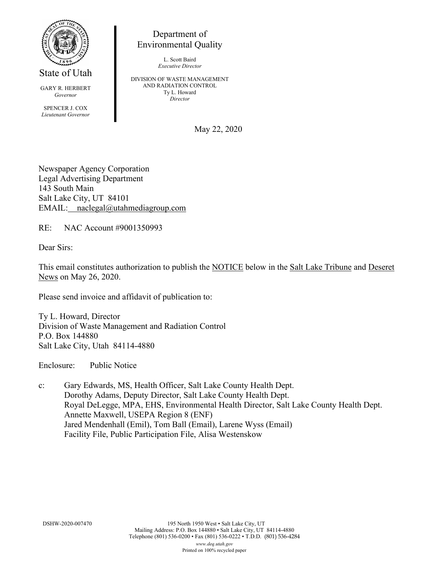

State of Utah

GARY R. HERBERT *Governor*

SPENCER J. COX *Lieutenant Governor*

Department of Environmental Quality

> L. Scott Baird *Executive Director*

DIVISION OF WASTE MANAGEMENT AND RADIATION CONTROL Ty L. Howard *Director*

May 22, 2020

Newspaper Agency Corporation Legal Advertising Department 143 South Main Salt Lake City, UT 84101 EMAIL: naclegal@utahmediagroup.com

RE: NAC Account #9001350993

Dear Sirs:

This email constitutes authorization to publish the NOTICE below in the Salt Lake Tribune and Deseret News on May 26, 2020.

Please send invoice and affidavit of publication to:

Ty L. Howard, Director Division of Waste Management and Radiation Control P.O. Box 144880 Salt Lake City, Utah 84114-4880

Enclosure: Public Notice

c: Gary Edwards, MS, Health Officer, Salt Lake County Health Dept. Dorothy Adams, Deputy Director, Salt Lake County Health Dept. Royal DeLegge, MPA, EHS, Environmental Health Director, Salt Lake County Health Dept. Annette Maxwell, USEPA Region 8 (ENF) Jared Mendenhall (Emil), Tom Ball (Email), Larene Wyss (Email) Facility File, Public Participation File, Alisa Westenskow